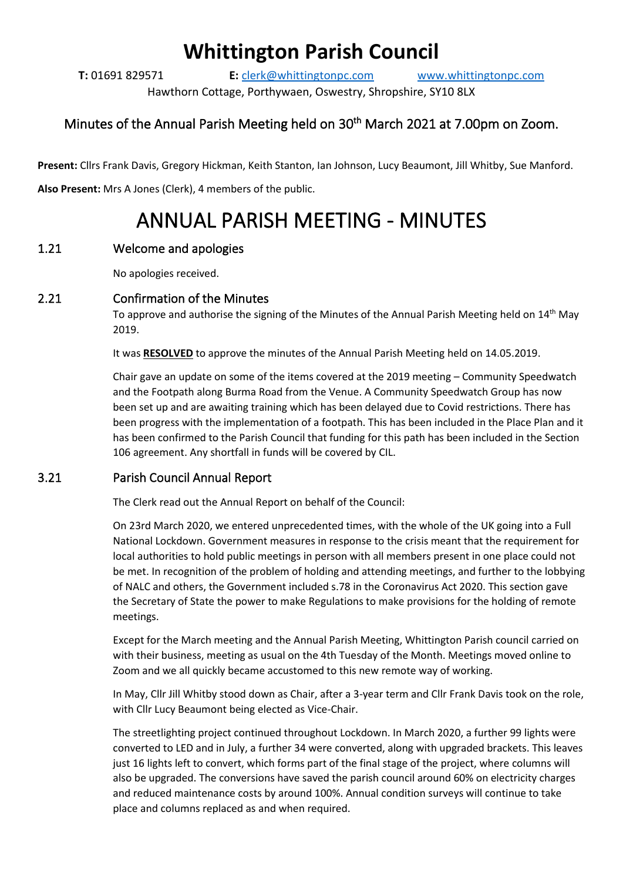## **Whittington Parish Council**

**T:** 01691 829571 **E:** [clerk@whittingtonpc.com](mailto:clerk@whittingtonpc.com) [www.whittingtonpc.com](http://www.whittingtonpc.com/)

Hawthorn Cottage, Porthywaen, Oswestry, Shropshire, SY10 8LX

### Minutes of the Annual Parish Meeting held on 30<sup>th</sup> March 2021 at 7.00pm on Zoom.

**Present:** Cllrs Frank Davis, Gregory Hickman, Keith Stanton, Ian Johnson, Lucy Beaumont, Jill Whitby, Sue Manford. **Also Present:** Mrs A Jones (Clerk), 4 members of the public.

# ANNUAL PARISH MEETING - MINUTES

#### 1.21 Welcome and apologies

No apologies received.

#### 2.21 Confirmation of the Minutes

To approve and authorise the signing of the Minutes of the Annual Parish Meeting held on 14<sup>th</sup> May 2019.

It was **RESOLVED** to approve the minutes of the Annual Parish Meeting held on 14.05.2019.

Chair gave an update on some of the items covered at the 2019 meeting – Community Speedwatch and the Footpath along Burma Road from the Venue. A Community Speedwatch Group has now been set up and are awaiting training which has been delayed due to Covid restrictions. There has been progress with the implementation of a footpath. This has been included in the Place Plan and it has been confirmed to the Parish Council that funding for this path has been included in the Section 106 agreement. Any shortfall in funds will be covered by CIL.

#### 3.21 Parish Council Annual Report

The Clerk read out the Annual Report on behalf of the Council:

On 23rd March 2020, we entered unprecedented times, with the whole of the UK going into a Full National Lockdown. Government measures in response to the crisis meant that the requirement for local authorities to hold public meetings in person with all members present in one place could not be met. In recognition of the problem of holding and attending meetings, and further to the lobbying of NALC and others, the Government included s.78 in the Coronavirus Act 2020. This section gave the Secretary of State the power to make Regulations to make provisions for the holding of remote meetings.

Except for the March meeting and the Annual Parish Meeting, Whittington Parish council carried on with their business, meeting as usual on the 4th Tuesday of the Month. Meetings moved online to Zoom and we all quickly became accustomed to this new remote way of working.

In May, Cllr Jill Whitby stood down as Chair, after a 3-year term and Cllr Frank Davis took on the role, with Cllr Lucy Beaumont being elected as Vice-Chair.

The streetlighting project continued throughout Lockdown. In March 2020, a further 99 lights were converted to LED and in July, a further 34 were converted, along with upgraded brackets. This leaves just 16 lights left to convert, which forms part of the final stage of the project, where columns will also be upgraded. The conversions have saved the parish council around 60% on electricity charges and reduced maintenance costs by around 100%. Annual condition surveys will continue to take place and columns replaced as and when required.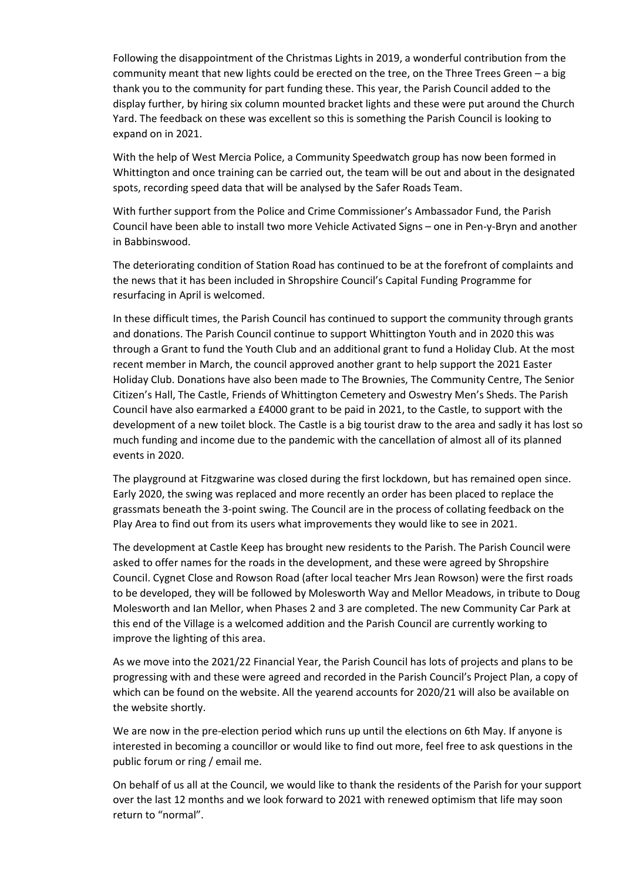Following the disappointment of the Christmas Lights in 2019, a wonderful contribution from the community meant that new lights could be erected on the tree, on the Three Trees Green – a big thank you to the community for part funding these. This year, the Parish Council added to the display further, by hiring six column mounted bracket lights and these were put around the Church Yard. The feedback on these was excellent so this is something the Parish Council is looking to expand on in 2021.

With the help of West Mercia Police, a Community Speedwatch group has now been formed in Whittington and once training can be carried out, the team will be out and about in the designated spots, recording speed data that will be analysed by the Safer Roads Team.

With further support from the Police and Crime Commissioner's Ambassador Fund, the Parish Council have been able to install two more Vehicle Activated Signs – one in Pen-y-Bryn and another in Babbinswood.

The deteriorating condition of Station Road has continued to be at the forefront of complaints and the news that it has been included in Shropshire Council's Capital Funding Programme for resurfacing in April is welcomed.

In these difficult times, the Parish Council has continued to support the community through grants and donations. The Parish Council continue to support Whittington Youth and in 2020 this was through a Grant to fund the Youth Club and an additional grant to fund a Holiday Club. At the most recent member in March, the council approved another grant to help support the 2021 Easter Holiday Club. Donations have also been made to The Brownies, The Community Centre, The Senior Citizen's Hall, The Castle, Friends of Whittington Cemetery and Oswestry Men's Sheds. The Parish Council have also earmarked a £4000 grant to be paid in 2021, to the Castle, to support with the development of a new toilet block. The Castle is a big tourist draw to the area and sadly it has lost so much funding and income due to the pandemic with the cancellation of almost all of its planned events in 2020.

The playground at Fitzgwarine was closed during the first lockdown, but has remained open since. Early 2020, the swing was replaced and more recently an order has been placed to replace the grassmats beneath the 3-point swing. The Council are in the process of collating feedback on the Play Area to find out from its users what improvements they would like to see in 2021.

The development at Castle Keep has brought new residents to the Parish. The Parish Council were asked to offer names for the roads in the development, and these were agreed by Shropshire Council. Cygnet Close and Rowson Road (after local teacher Mrs Jean Rowson) were the first roads to be developed, they will be followed by Molesworth Way and Mellor Meadows, in tribute to Doug Molesworth and Ian Mellor, when Phases 2 and 3 are completed. The new Community Car Park at this end of the Village is a welcomed addition and the Parish Council are currently working to improve the lighting of this area.

As we move into the 2021/22 Financial Year, the Parish Council has lots of projects and plans to be progressing with and these were agreed and recorded in the Parish Council's Project Plan, a copy of which can be found on the website. All the yearend accounts for 2020/21 will also be available on the website shortly.

We are now in the pre-election period which runs up until the elections on 6th May. If anyone is interested in becoming a councillor or would like to find out more, feel free to ask questions in the public forum or ring / email me.

On behalf of us all at the Council, we would like to thank the residents of the Parish for your support over the last 12 months and we look forward to 2021 with renewed optimism that life may soon return to "normal".